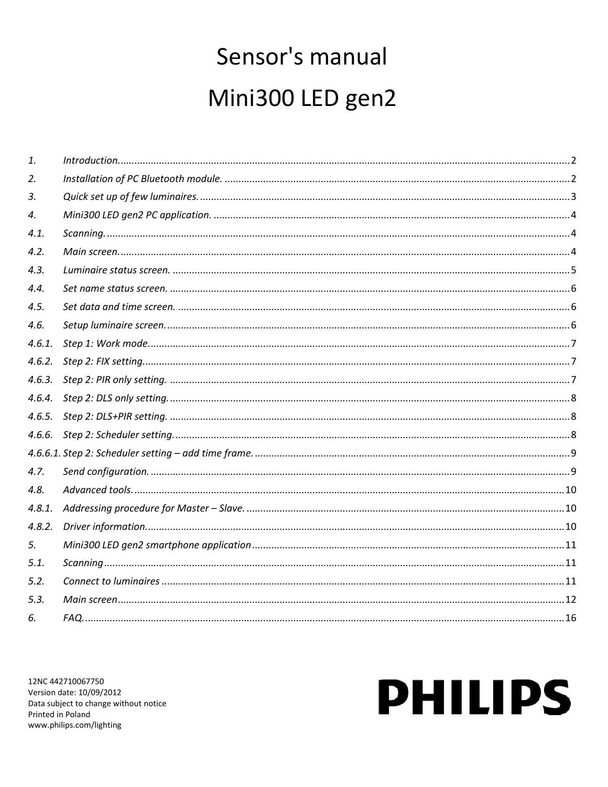## Sensor's manual Mini300 LED gen2

| 1.     |  |
|--------|--|
| 2.     |  |
| 3.     |  |
| 4.     |  |
| 4.1.   |  |
| 4.2.   |  |
| 4.3.   |  |
| 4.4.   |  |
| 4.5.   |  |
| 4.6.   |  |
| 4.6.1. |  |
| 4.6.2. |  |
| 4.6.3. |  |
|        |  |
| 4.6.5. |  |
|        |  |
|        |  |
| 4.7.   |  |
| 4.8.   |  |
| 4.8.1. |  |
| 4.8.2. |  |
| 5.     |  |
| 5.1.   |  |
| 5.2.   |  |
| 5.3.   |  |
| 6.     |  |

12NC 442710067750 Version date: 10/09/2012 Data subject to change without notice Printed in Poland www.philips.com/lighting

# **PHILIPS**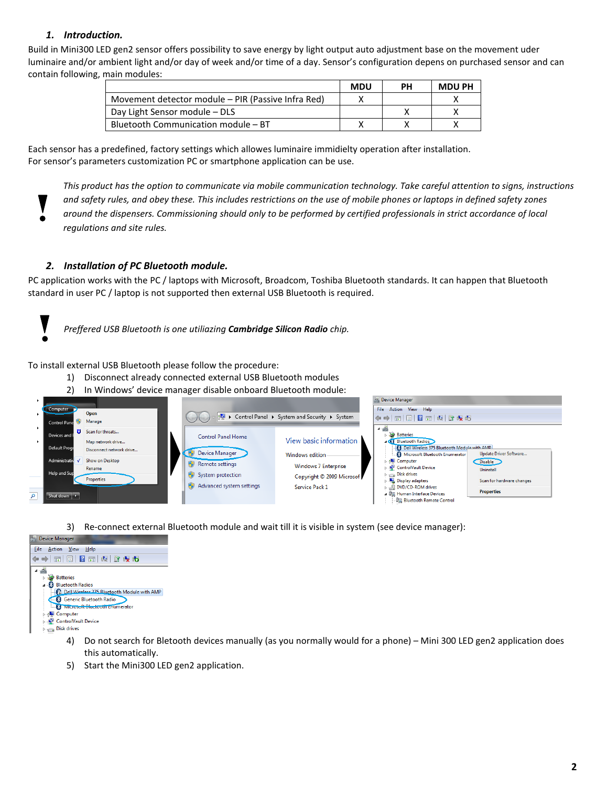#### *1. Introduction.*

<span id="page-1-0"></span>Build in Mini300 LED gen2 sensor offers possibility to save energy by light output auto adjustment base on the movement uder luminaire and/or ambient light and/or day of week and/or time of a day. Sensor's configuration depens on purchased sensor and can contain following, main modules:

|                                                    | <b>MDU</b> | PН | <b>MDU PH</b> |
|----------------------------------------------------|------------|----|---------------|
| Movement detector module – PIR (Passive Infra Red) |            |    |               |
| Day Light Sensor module - DLS                      |            |    |               |
| Bluetooth Communication module - BT                |            |    |               |

Each sensor has a predefined, factory settings which allowes luminaire immidielty operation after installation. For sensor's parameters customization PC or smartphone application can be use.

<span id="page-1-1"></span>*This product has the option to communicate via mobile communication technology. Take careful attention to signs, instructions and safety rules, and obey these. This includes restrictions on the use of mobile phones or laptops in defined safety zones around the dispensers. Commissioning should only to be performed by certified professionals in strict accordance of local regulations and site rules.*

#### *2. Installation of PC Bluetooth module.*

PC application works with the PC / laptops with Microsoft, Broadcom, Toshiba Bluetooth standards. It can happen that Bluetooth standard in user PC / laptop is not supported then external USB Bluetooth is required.

*Preffered USB Bluetooth is one utiliazing Cambridge Silicon Radio chip.*

To install external USB Bluetooth please follow the procedure:

- 1) Disconnect already connected external USB Bluetooth modules
- 2) In Windows' device manager disable onboard Bluetooth module:



3) Re-connect external Bluetooth module and wait till it is visible in system (see device manager):



- 4) Do not search for Bletooth devices manually (as you normally would for a phone) Mini 300 LED gen2 application does this automatically.
- 5) Start the Mini300 LED gen2 application.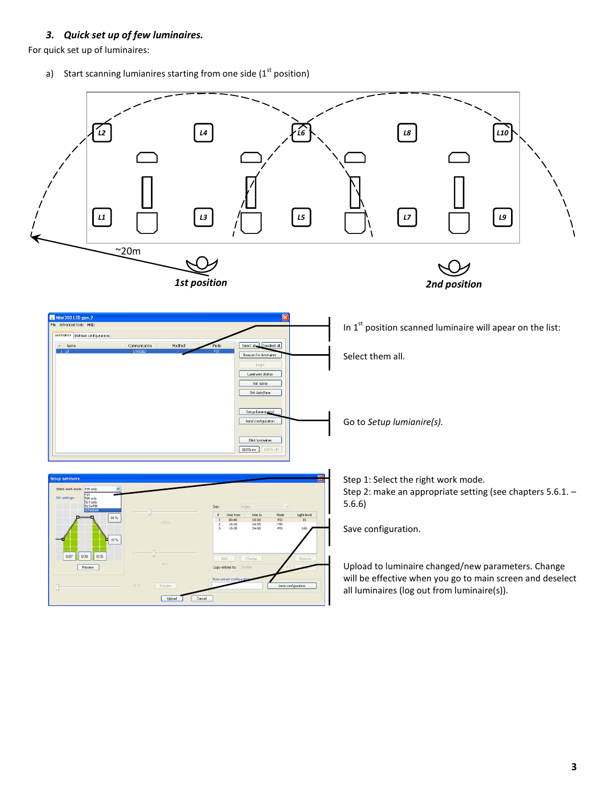#### *3. Quick set up of few luminaires.*

<span id="page-2-0"></span>For quick set up of luminaires:

a) Start scanning lumianires starting from one side ( $1<sup>st</sup>$  position)

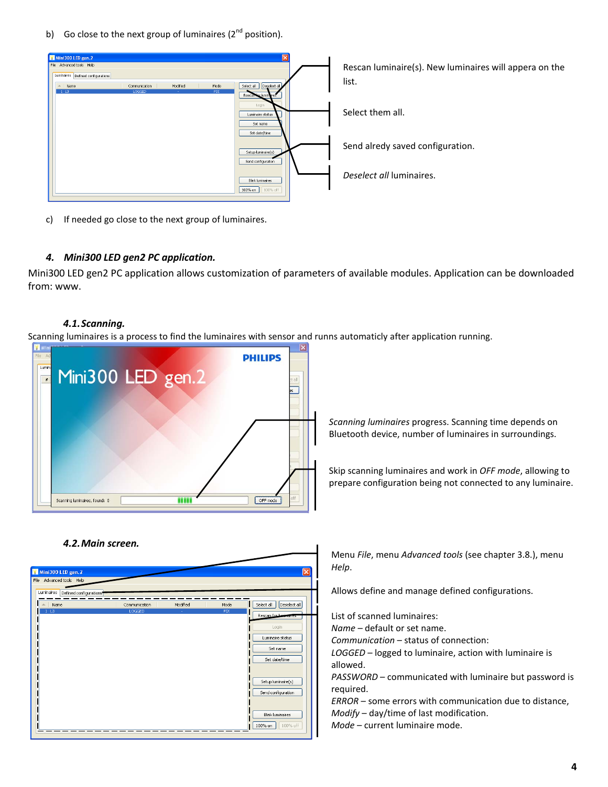b) Go close to the next group of luminaires  $(2^{nd}$  position).



c) If needed go close to the next group of luminaires.

#### <span id="page-3-0"></span>*4. Mini300 LED gen2 PC application.*

<span id="page-3-1"></span>Mini300 LED gen2 PC application allows customization of parameters of available modules. Application can be downloaded from: www.

#### *4.1.Scanning.*

Scanning luminaires is a process to find the luminaires with sensor and runns automaticly after application running.



*Scanning luminaires* progress. Scanning time depends on Bluetooth device, number of luminaires in surroundings.

Skip scanning luminaires and work in *OFF mode*, allowing to prepare configuration being not connected to any luminaire.

#### <span id="page-3-2"></span>*4.2.Main screen.*



Menu *File*, menu *Advanced tools* (see chapter 3.8.), menu *Help*.

Allows define and manage defined configurations.

List of scanned luminaires:

*Name* – default or set name.

*Communication* – status of connection:

*LOGGED* – logged to luminaire, action with luminaire is allowed.

*PASSWORD* – communicated with luminaire but password is required.

*ERROR* – some errors with communication due to distance, *Modify* – day/time of last modification.

*Mode* – current luminaire mode.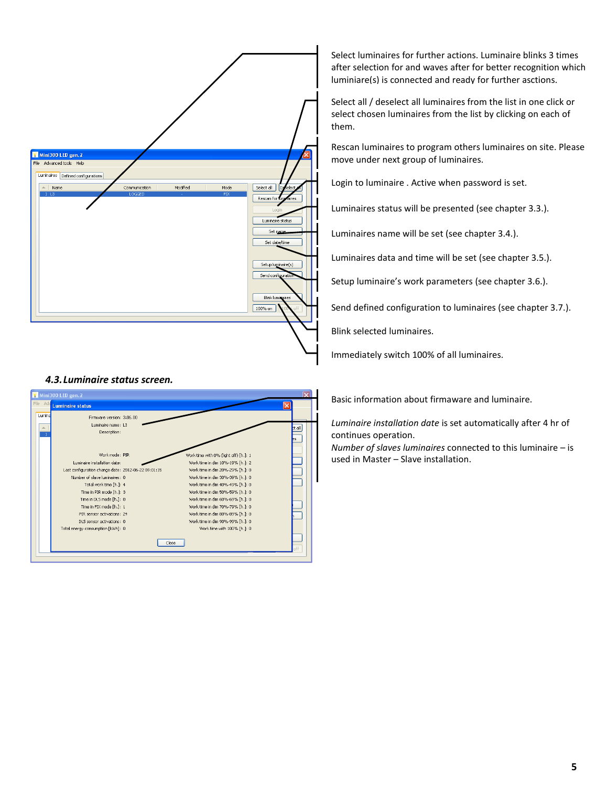

Select luminaires for further actions. Luminaire blinks 3 times after selection for and waves after for better recognition which luminiare(s) is connected and ready for further asctions.

Select all / deselect all luminaires from the list in one click or select chosen luminaires from the list by clicking on each of them.

Rescan luminaires to program others luminaires on site. Please move under next group of luminaires.

Login to luminaire . Active when password is set.

Luminaires status will be presented (see chapter 3.3.).

Luminaires name will be set (see chapter 3.4.).

Luminaires data and time will be set (see chapter 3.5.).

Setup luminaire's work parameters (see chapter 3.6.).

Send defined configuration to luminaires (see chapter 3.7.).

Blink selected luminaires.

Immediately switch 100% of all luminaires.

<span id="page-4-0"></span>



Basic information about firmaware and luminaire.

*Luminaire installation date* is set automatically after 4 hr of continues operation.

*Number of slaves luminaires* connected to this luminaire – is used in Master – Slave installation.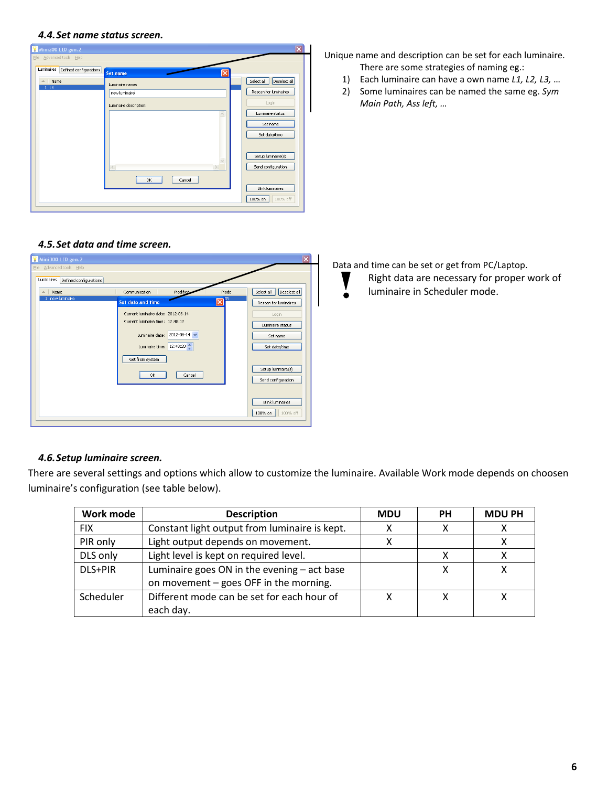#### <span id="page-5-0"></span>*4.4.Set name status screen.*



#### <span id="page-5-1"></span>*4.5.Set data and time screen.*

| Mini300 LED gen. 2                   |                                      |                | $\overline{\mathsf{x}}$    |
|--------------------------------------|--------------------------------------|----------------|----------------------------|
| File Advanced tools Help             |                                      |                |                            |
| Luminaires<br>Defined configurations |                                      |                |                            |
| Name<br>ᇫ                            | Modified<br>Communication            | Mode           | Select all<br>Deselect all |
| new luminaire                        | Set date and time                    | <b>IR</b><br>⊠ | Rescan for luminaires      |
|                                      | Current luminaire date: 2012-06-14   |                | Login                      |
|                                      | Current luminaire time: 12:48:12     |                | Luminaire status           |
|                                      | 2012-06-14 $\vee$<br>Luminaire date: |                | Set name                   |
|                                      | 12:48:20<br>Luminaire time:          |                | Set date/time              |
|                                      | Get from system                      |                |                            |
|                                      | Cancel<br>OK                         |                | Setup luminaire(s)         |
|                                      |                                      |                | Send configuration         |
|                                      |                                      |                |                            |
|                                      |                                      |                | <b>Blink luminaires</b>    |
|                                      |                                      |                | 100% on<br>100% off        |

#### <span id="page-5-2"></span>*4.6.Setup luminaire screen.*

There are several settings and options which allow to customize the luminaire. Available Work mode depends on choosen luminaire's configuration (see table below).

| Work mode  | <b>Description</b>                              | <b>MDU</b> | <b>PH</b> | <b>MDU PH</b> |
|------------|-------------------------------------------------|------------|-----------|---------------|
| <b>FIX</b> | Constant light output from luminaire is kept.   |            | х         |               |
| PIR only   | Light output depends on movement.               |            |           |               |
| DLS only   | Light level is kept on required level.          |            |           |               |
| DLS+PIR    | Luminaire goes $ON$ in the evening $-$ act base |            |           |               |
|            | on movement - goes OFF in the morning.          |            |           |               |
| Scheduler  | Different mode can be set for each hour of      |            |           |               |
|            | each day.                                       |            |           |               |

Unique name and description can be set for each luminaire. There are some strategies of naming eg.:

- 1) Each luminaire can have a own name *L1, L2, L3,* …
- 2) Some luminaires can be named the same eg. *Sym Main Path, Ass left, …*

Data and time can be set or get from PC/Laptop.

- Right data are necessary for proper work of
- luminaire in Scheduler mode.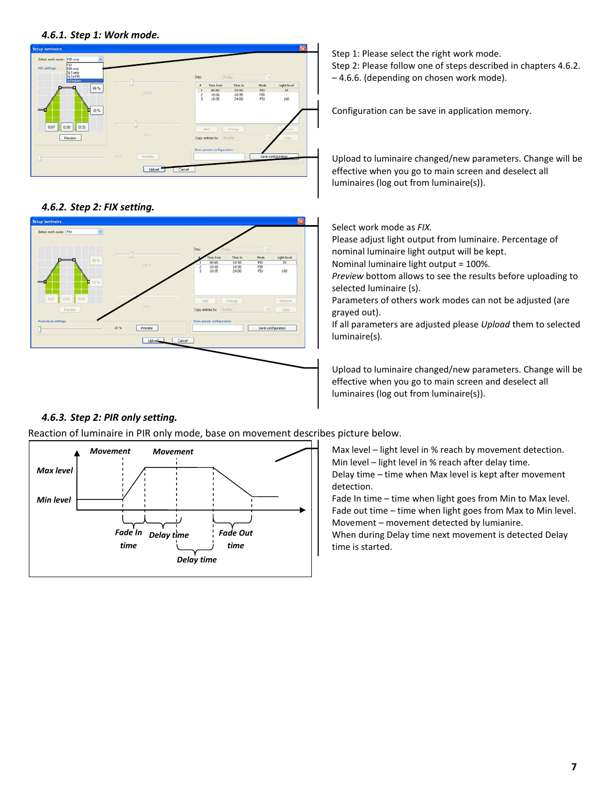<span id="page-6-0"></span>*4.6.1. Step 1: Work mode.*



<span id="page-6-1"></span>*4.6.2. Step 2: FIX setting.*



#### <span id="page-6-2"></span>*4.6.3. Step 2: PIR only setting.*

Reaction of luminaire in PIR only mode, base on movement describes picture below.



Step 1: Please select the right work mode. Step 2: Please follow one of steps described in chapters 4.6.2. – 4.6.6. (depending on chosen work mode).

Configuration can be save in application memory.

Upload to luminaire changed/new parameters. Change will be effective when you go to main screen and deselect all luminaires (log out from luminaire(s)).

Select work mode as *FIX.*

Please adjust light output from luminaire. Percentage of nominal luminaire light output will be kept.

Nominal luminaire light output = 100%.

*Preview* bottom allows to see the results before uploading to selected luminaire (s).

Parameters of others work modes can not be adjusted (are grayed out).

If all parameters are adjusted please *Upload* them to selected luminaire(s).

Upload to luminaire changed/new parameters. Change will be effective when you go to main screen and deselect all luminaires (log out from luminaire(s)).

Max level – light level in % reach by movement detection. Min level – light level in % reach after delay time. Delay time – time when Max level is kept after movement detection.

Fade In time – time when light goes from Min to Max level. Fade out time – time when light goes from Max to Min level. Movement – movement detected by lumianire. When during Delay time next movement is detected Delay time is started.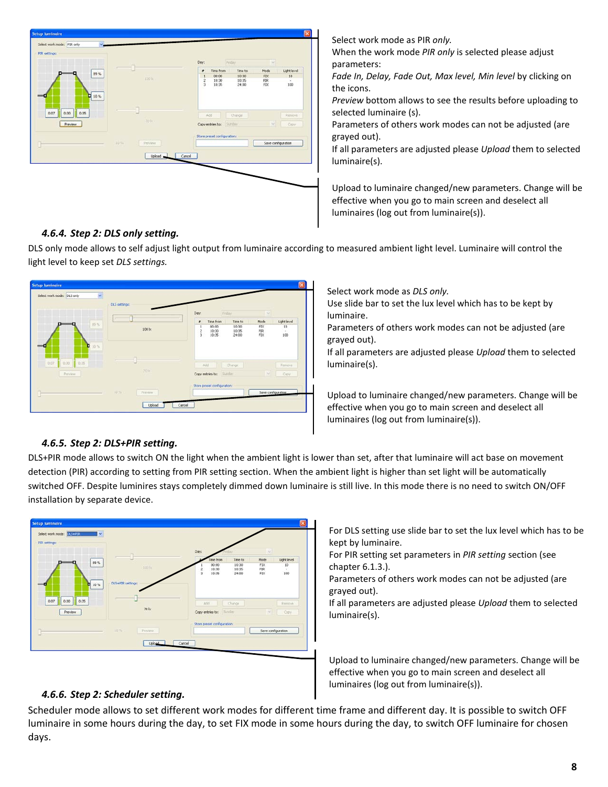| D.<br>89%<br>п<br>10 %<br>п     | 100 lz                   | Friday.<br>Day:<br>Time from<br>Time to<br>$\bullet$<br>00:00<br>10:30<br>$\cdot$ 1<br>$\bar{z}$<br>$\frac{10:30}{10:35}$<br>10:35 | $\omega$<br>Mode<br>Light level<br>$10\,$<br>${\rm FIX}$ |
|---------------------------------|--------------------------|------------------------------------------------------------------------------------------------------------------------------------|----------------------------------------------------------|
|                                 |                          | $_{3}$<br>24:00                                                                                                                    | $_{\rm{FLX}}^{\rm{PIR}}$<br>¥<br>100<br>×                |
| 0:07<br>0:30<br>0:35<br>Preview | $70\,\mathrm{fs}$        | Add<br>Change<br>Sunday<br>Copy entries to:                                                                                        | Renove<br>$\sim$<br>Copy:                                |
|                                 | 10%<br>Preview<br>Upload | Store preset configurations<br>Cancel                                                                                              | Save configuration                                       |

#### <span id="page-7-0"></span>*4.6.4. Step 2: DLS only setting.*

Parameters of others work modes can not be adjusted (are grayed out). If all parameters are adjusted please *Upload* them to selected

parameters:

selected luminaire (s).

the icons.

luminaire(s).

When the work mode *PIR only* is selected please adjust

*Fade In, Delay, Fade Out, Max level, Min level* by clicking on

*Preview* bottom allows to see the results before uploading to

Upload to luminaire changed/new parameters. Change will be effective when you go to main screen and deselect all luminaires (log out from luminaire(s)).

DLS only mode allows to self adjust light output from luminaire according to measured ambient light level. Luminaire will control the light level to keep set *DLS settings.*

### Di Sorè  $100$ Copy entries Upload Cancel

Select work mode as *DLS only.*

Select work mode as PIR *only.*

Use slide bar to set the lux level which has to be kept by luminaire.

Parameters of others work modes can not be adjusted (are grayed out).

If all parameters are adjusted please *Upload* them to selected luminaire(s).

Upload to luminaire changed/new parameters. Change will be effective when you go to main screen and deselect all luminaires (log out from luminaire(s)).

#### <span id="page-7-1"></span>*4.6.5. Step 2: DLS+PIR setting.*

DLS+PIR mode allows to switch ON the light when the ambient light is lower than set, after that luminaire will act base on movement detection (PIR) according to setting from PIR setting section. When the ambient light is higher than set light will be automatically switched OFF. Despite luminires stays completely dimmed down luminaire is still live. In this mode there is no need to switch ON/OFF installation by separate device.



For DLS setting use slide bar to set the lux level which has to be kept by luminaire.

For PIR setting set parameters in *PIR setting* section (see chapter 6.1.3.).

Parameters of others work modes can not be adjusted (are grayed out).

If all parameters are adjusted please *Upload* them to selected luminaire(s).

Upload to luminaire changed/new parameters. Change will be effective when you go to main screen and deselect all luminaires (log out from luminaire(s)).

#### <span id="page-7-2"></span>*4.6.6. Step 2: Scheduler setting.*

Scheduler mode allows to set different work modes for different time frame and different day. It is possible to switch OFF luminaire in some hours during the day, to set FIX mode in some hours during the day, to switch OFF luminaire for chosen days.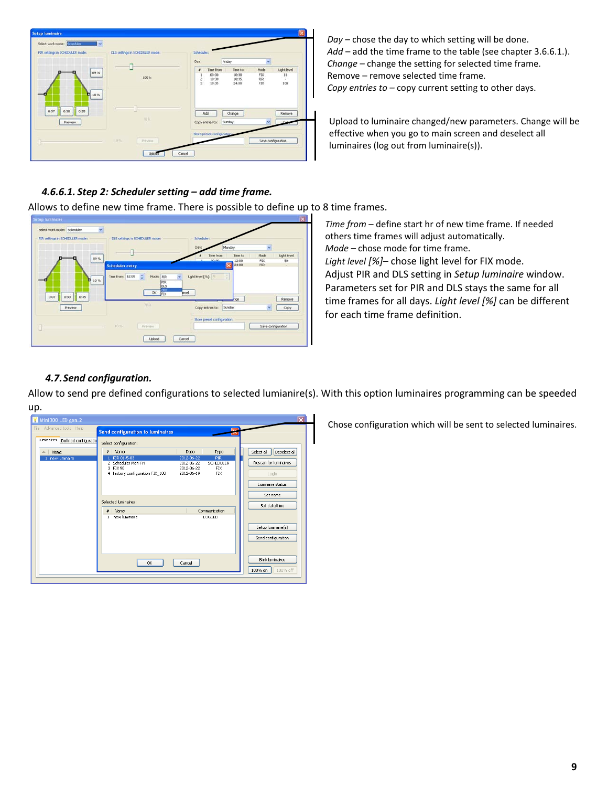| Setup Iuminaire<br>Select work mode: Scheduler<br>$\mathbf{v}$ |                                    |                                                                                                          |                                                                          |
|----------------------------------------------------------------|------------------------------------|----------------------------------------------------------------------------------------------------------|--------------------------------------------------------------------------|
| PIR settings in SCHEDULER mode:                                | DLS settings in SCHEDULER mode:    | Scheduler:                                                                                               |                                                                          |
|                                                                |                                    | Day:<br>Friday                                                                                           |                                                                          |
| 09%<br>10%<br>о                                                | $100$ $\mathrm{tc}$                | Time from<br>Time to<br>$\pmb{r}$<br>00:00<br>10:30<br>$\frac{1}{3}$<br>10:30<br>10:35<br>10:35<br>24:00 | Light level<br>Mode<br>FIX.<br>10<br>PIR.<br>$\sim$<br><b>FIX</b><br>100 |
| 0:07<br>0:30<br>0:35<br>Preview                                | 70 b.                              | Add<br>Change<br>Sunday<br>Copy entries to:                                                              | Rettove                                                                  |
| в                                                              | 10.55<br>Préviées<br><b>Uploat</b> | Store preset configurations<br>Cancel                                                                    | Save configuration                                                       |

*Day –* chose the day to which setting will be done. *Add* – add the time frame to the table (see chapter 3.6.6.1.). *Change* – change the setting for selected time frame. Remove – remove selected time frame. *Copy entries to –* copy current setting to other days.

Upload to luminaire changed/new parameters. Change will be effective when you go to main screen and deselect all luminaires (log out from luminaire(s)).

#### <span id="page-8-0"></span>*4.6.6.1. Step 2: Scheduler setting – add time frame.*

Allows to define new time frame. There is possible to define up to 8 time frames.

| PIR settings in SCHEDULER mode: | DLS settings in SCHEDLLER mode: | Scheduler:<br>Day:<br>Monday                       |                            |
|---------------------------------|---------------------------------|----------------------------------------------------|----------------------------|
| 89 %                            |                                 | Time to<br>Time from                               | Light level<br>Mode        |
|                                 | <b>Scheduler entry</b>          | novon<br>12:00<br>$\overline{\mathbf{x}}$<br>24:00 | FIX<br>50<br>PIR<br>$\sim$ |
|                                 | PIR<br>OLS<br>OLS<br>OK:<br>FIX | roel.<br>non                                       | Remove                     |
| 0:07<br>0:35<br>0:30            |                                 |                                                    |                            |
| Preview                         | 70 li.                          | Sunday<br>Copy entries to:                         | ×<br>Copy                  |
|                                 |                                 | Store preset configuration:                        |                            |

*Time from* – define start hr of new time frame. If needed others time frames will adjust automatically. *Mode –* chose mode for time frame. *Light level [%]*– chose light level for FIX mode. Adjust PIR and DLS setting in *Setup luminaire* window. Parameters set for PIR and DLS stays the same for all time frames for all days. *Light level [%]* can be different for each time frame definition.

#### <span id="page-8-1"></span>*4.7.Send configuration.*

Allow to send pre defined configurations to selected lumianire(s). With this option luminaires programming can be speeded up.

| Mini300 LED gen. 2                 |                                                                                                                                                                                                                               | $\mathbf{\overline{x}}$                                                          |
|------------------------------------|-------------------------------------------------------------------------------------------------------------------------------------------------------------------------------------------------------------------------------|----------------------------------------------------------------------------------|
| File Advanced tools Help           | œ<br><b>Send configuration to luminaires</b>                                                                                                                                                                                  |                                                                                  |
| Luminaires<br>Defined configuratio | Select configuration:                                                                                                                                                                                                         |                                                                                  |
| Name<br>▵<br>new luminaire         | Name<br>Date<br>苯<br>Type<br>PIR 01-5-03<br>2012-06-22<br>PIR<br>2 Scheduler Mon-Fri<br><b>SCHEDULER</b><br>2012-06-22<br>3 FIX 90<br>2012-06-22<br><b>FIX</b><br>4 factory configuration FIX_100<br><b>FIX</b><br>2012-06-19 | Select all<br>Deselect all<br>Rescan for luminaires<br>Login<br>Luminaire status |
|                                    | Selected luminaires:<br>Communication<br>Name<br>#<br>new luminaire<br>LOGGED                                                                                                                                                 | Set name<br>Set date/time                                                        |
|                                    |                                                                                                                                                                                                                               | Setup luminaire(s)<br>Send configuration                                         |
|                                    | OK<br>Cancel                                                                                                                                                                                                                  | Blink luminaires<br>100% on<br>100% off                                          |

Chose configuration which will be sent to selected luminaires.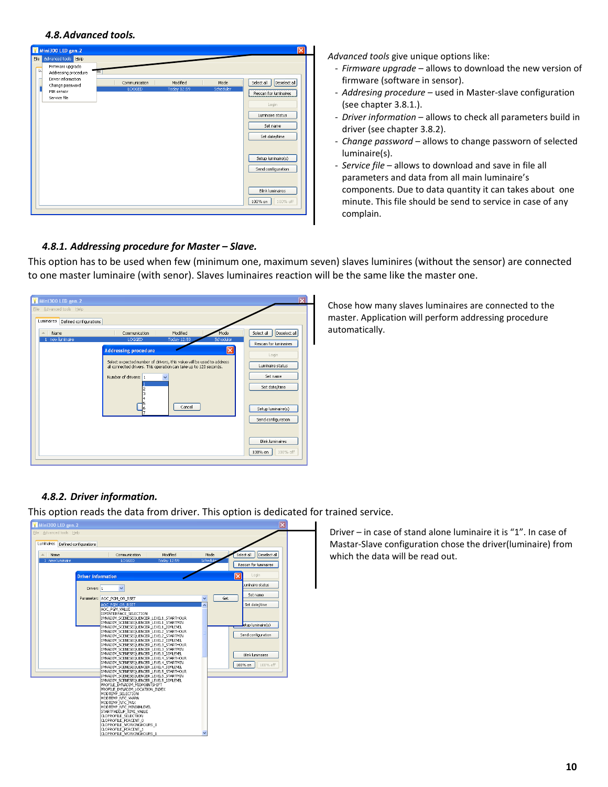<span id="page-9-0"></span>

| Mini300 LED gen. 2                                                                                                          |                         |                                |                   | $\overline{\mathsf{x}}$                                                                                       |
|-----------------------------------------------------------------------------------------------------------------------------|-------------------------|--------------------------------|-------------------|---------------------------------------------------------------------------------------------------------------|
| Advanced tools<br>Eile<br>Help                                                                                              |                         |                                |                   |                                                                                                               |
| Firmware upgrade<br>π<br>Tns<br>Addressing procedure<br>Driver information<br>Change password<br>PIR sensor<br>Service file | Communication<br>LOGGED | Modified<br><b>Today 12:59</b> | Mode<br>Scheduler | Deselect all<br>Select all<br>Rescan for luminaires<br>Login<br>Luminaire status<br>Set name<br>Set date/time |
|                                                                                                                             |                         |                                |                   | Setup luminaire(s)<br>Send configuration                                                                      |
|                                                                                                                             |                         |                                |                   | Blink luminaires<br>100% off<br>100% on                                                                       |

*Advanced tools* give unique options like:

- *Firmware upgrade* allows to download the new version of firmware (software in sensor).
- *Addresing procedure* used in Master-slave configuration (see chapter 3.8.1.).
- *Driver information* allows to check all parameters build in driver (see chapter 3.8.2).
- *Change password* allows to change passworn of selected luminaire(s).
- *Service file*  allows to download and save in file all parameters and data from all main luminaire's components. Due to data quantity it can takes about one minute. This file should be send to service in case of any complain.

#### <span id="page-9-1"></span>*4.8.1. Addressing procedure for Master – Slave.*

This option has to be used when few (minimum one, maximum seven) slaves luminires (without the sensor) are connected to one master luminaire (with senor). Slaves luminaires reaction will be the same like the master one.

| Mini300 LED gen. 2                                                 |                                                                                                                                                                                                                                                                                                                |                                                                                                                                                                                                             |
|--------------------------------------------------------------------|----------------------------------------------------------------------------------------------------------------------------------------------------------------------------------------------------------------------------------------------------------------------------------------------------------------|-------------------------------------------------------------------------------------------------------------------------------------------------------------------------------------------------------------|
| Eile Advanced tools Help                                           |                                                                                                                                                                                                                                                                                                                |                                                                                                                                                                                                             |
| Luminaires<br>Defined configurations<br>Name<br>▵<br>new luminaire | Modified<br>Mode<br>Communication<br>LOGGED<br>Today 12:59<br>Scheduler<br>$\vert x \vert$<br><b>Addressing procedure</b><br>Select expected number of drivers, this value will be used to address<br>all connected drivers. This operation can take up to 120 seconds.<br>Number of drivers: 1<br>Cancel<br>6 | Deselect all<br>Select all<br>Rescan for luminaires<br>Login<br>Luminaire status<br>Set name<br>Set date/time<br>Setup luminaire(s)<br>Send configuration<br><b>Blink luminaires</b><br>100% off<br>100% on |
|                                                                    |                                                                                                                                                                                                                                                                                                                |                                                                                                                                                                                                             |

Chose how many slaves luminaires are connected to the master. Application will perform addressing procedure automatically.

#### <span id="page-9-2"></span>*4.8.2. Driver information.*

This option reads the data from driver. This option is dedicated for trained service.



Driver – in case of stand alone luminaire it is "1". In case of Mastar-Slave configuration chose the driver(luminaire) from which the data will be read out.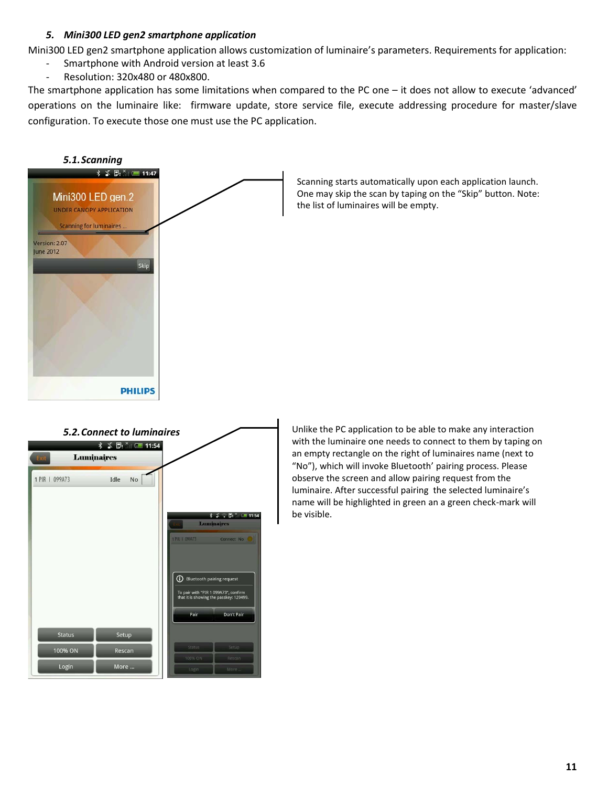#### *5. Mini300 LED gen2 smartphone application*

<span id="page-10-0"></span>Mini300 LED gen2 smartphone application allows customization of luminaire's parameters. Requirements for application:

- Smartphone with Android version at least 3.6
- Resolution: 320x480 or 480x800.

The smartphone application has some limitations when compared to the PC one – it does not allow to execute 'advanced' operations on the luminaire like: firmware update, store service file, execute addressing procedure for master/slave configuration. To execute those one must use the PC application.

<span id="page-10-1"></span>

Scanning starts automatically upon each application launch. One may skip the scan by taping on the "Skip" button. Note: the list of luminaires will be empty.

<span id="page-10-2"></span>

Unlike the PC application to be able to make any interaction with the luminaire one needs to connect to them by taping on an empty rectangle on the right of luminaires name (next to "No"), which will invoke Bluetooth' pairing process. Please observe the screen and allow pairing request from the luminaire. After successful pairing the selected luminaire's name will be highlighted in green an a green check-mark will be visible.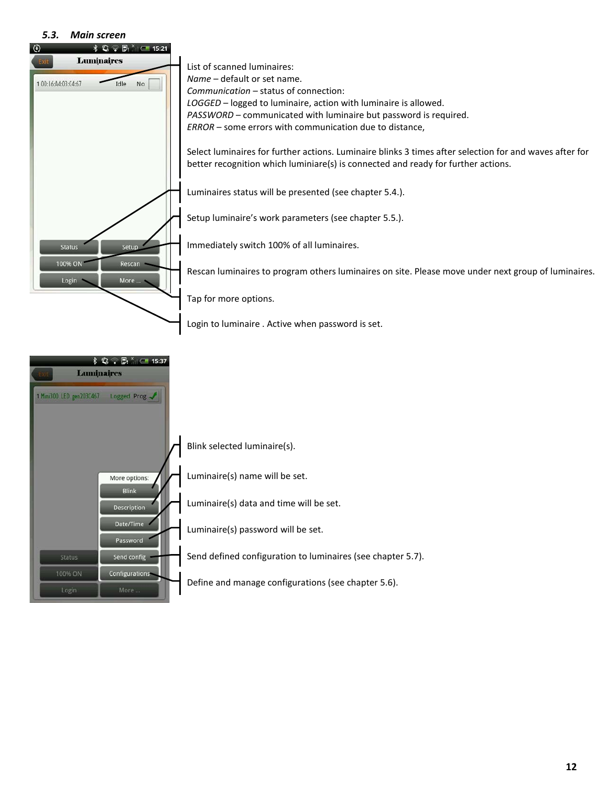#### *5.3. Main screen*

<span id="page-11-0"></span>

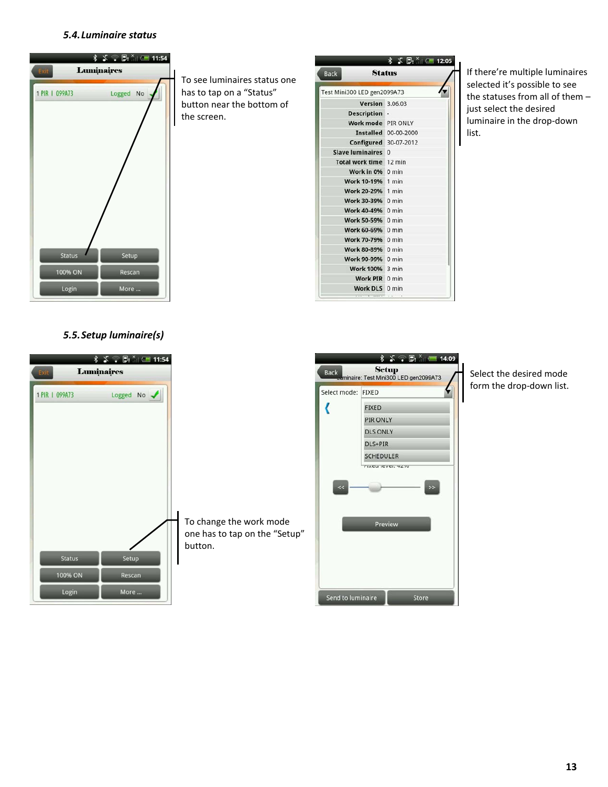#### *5.4.Luminaire status*



#### *5.5.Setup luminaire(s)*



| <b>Back</b>                 | <b>Status</b>               |
|-----------------------------|-----------------------------|
| Test Mini300 LED gen2099A73 |                             |
| <b>Version</b> 3.06.03      |                             |
| <b>Description</b>          |                             |
| Work mode PIR ONLY          |                             |
|                             | <b>Installed</b> 00-00-2000 |
|                             | Configured 30-07-2012       |
| Slave luminaires 0          |                             |
| Total work time 12 min      |                             |
| Work in 0% 0 min            |                             |
| Work 10-19% 1 min           |                             |
| Work 20-29% 1 min           |                             |
| Work 30-39% 0 min           |                             |
| Work 40-49% 0 min           |                             |
| Work 50-59% 0 min           |                             |
| Work 60-69% 0 min           |                             |
| Work 70-79% 0 min           |                             |
| Work 80-89% 0 min           |                             |
| Work 90-99% 0 min           |                             |
| Work 100% 3 min             |                             |
| Work PIR 0 min              |                             |
| Work DLS 0 min              |                             |

If there're multiple luminaires selected it's possible to see the statuses from all of them – just select the desired luminaire in the drop-down list.



Select the desired mode form the drop-down list.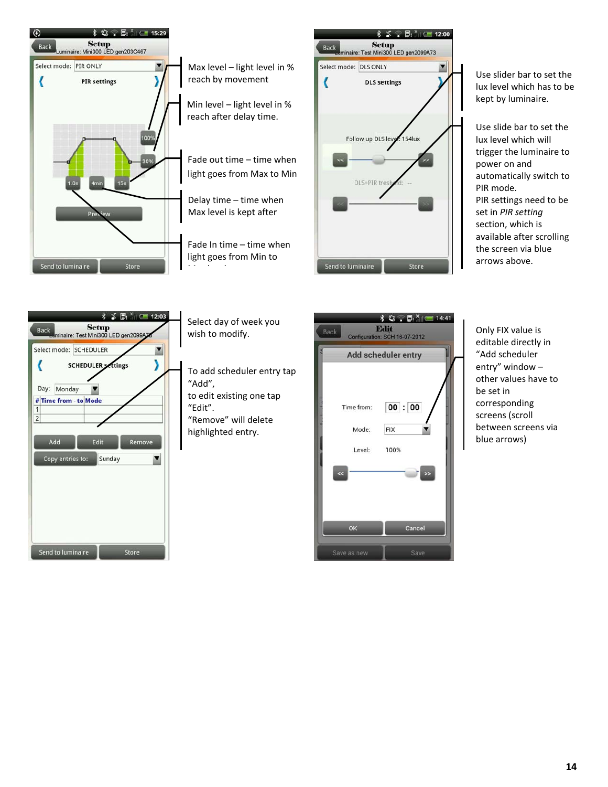



Use slider bar to set the lux level which has to be kept by luminaire.

Use slide bar to set the lux level which will trigger the luminaire to power on and automatically switch to PIR mode. PIR settings need to be set in *PIR setting* section, which is available after scrolling the screen via blue arrows above.



| Select day of week you<br>wish to modify.                                                                                 | Back                                                    | $\frac{1}{2}$ $\mathbb{Q}$ $\approx$ $\mathbb{D}$ $\frac{1}{2}$ $\approx$ 14:41<br>Edit<br>Configuration: SCH 16-07-2012 | Only FIX value is<br>editable directly                                                                                                    |
|---------------------------------------------------------------------------------------------------------------------------|---------------------------------------------------------|--------------------------------------------------------------------------------------------------------------------------|-------------------------------------------------------------------------------------------------------------------------------------------|
| To add scheduler entry tap<br>"Add",<br>to edit existing one tap<br>"Edit".<br>"Remove" will delete<br>highlighted entry. | Time from:<br>Mode:<br>Level:<br>æ<br>OK<br>Save as new | Add scheduler entry<br>00:00<br><b>FIX</b><br>100%<br>Cancel<br>Save                                                     | "Add scheduler<br>entry" window -<br>other values hav<br>be set in<br>corresponding<br>screens (scroll<br>between screens<br>blue arrows) |
|                                                                                                                           |                                                         |                                                                                                                          |                                                                                                                                           |

editable directly in "Add scheduler entry" window – other values have to be set in corresponding screens (scroll between screens via blue arrows)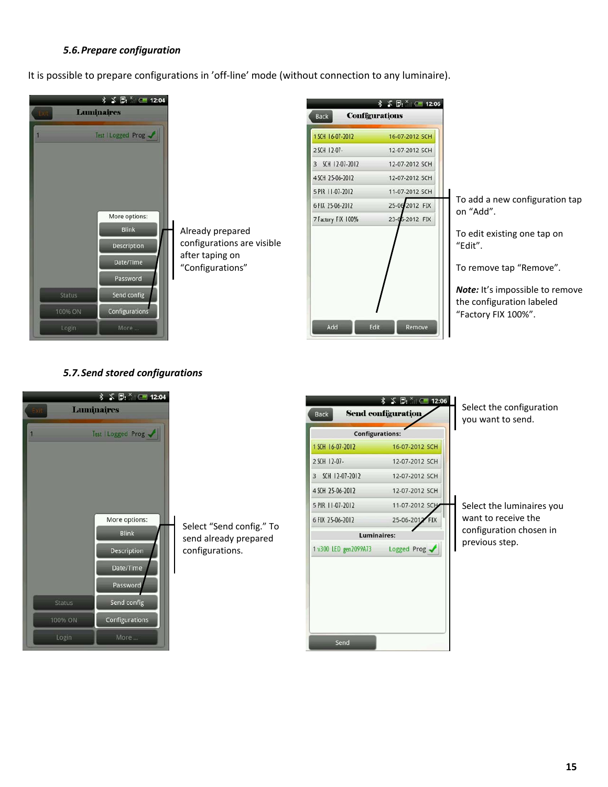#### *5.6.Prepare configuration*

It is possible to prepare configurations in 'off-line' mode (without connection to any luminaire).



| 1 SCH 16-07-2012   | 16-07-2012 SCH |
|--------------------|----------------|
| 2 SCH 12-07-       | 12-07-2012 SCH |
| 3 SCH 12-07-2012   | 12-07-2012 SCH |
| 4 SCH 25-06-2012   | 12-07-2012 SCH |
| 5 PIR 11-07-2012   | 11-07-2012 SCH |
| 6 FIX 25-06-2012   | 25-06-2012 FIX |
| 7 Factory FIX 100% | 23-05-2012 FIX |
|                    |                |

To add a new configuration tap on "Add".

To edit existing one tap on "Edit".

To remove tap "Remove".

*Note:* It's impossible to remove the configuration labeled "Factory FIX 100%".

#### *5.7.Send stored configurations*



Select "Send config." To send already prepared configurations.



Select the configuration you want to send.

Select the luminaires you want to receive the configuration chosen in previous step.